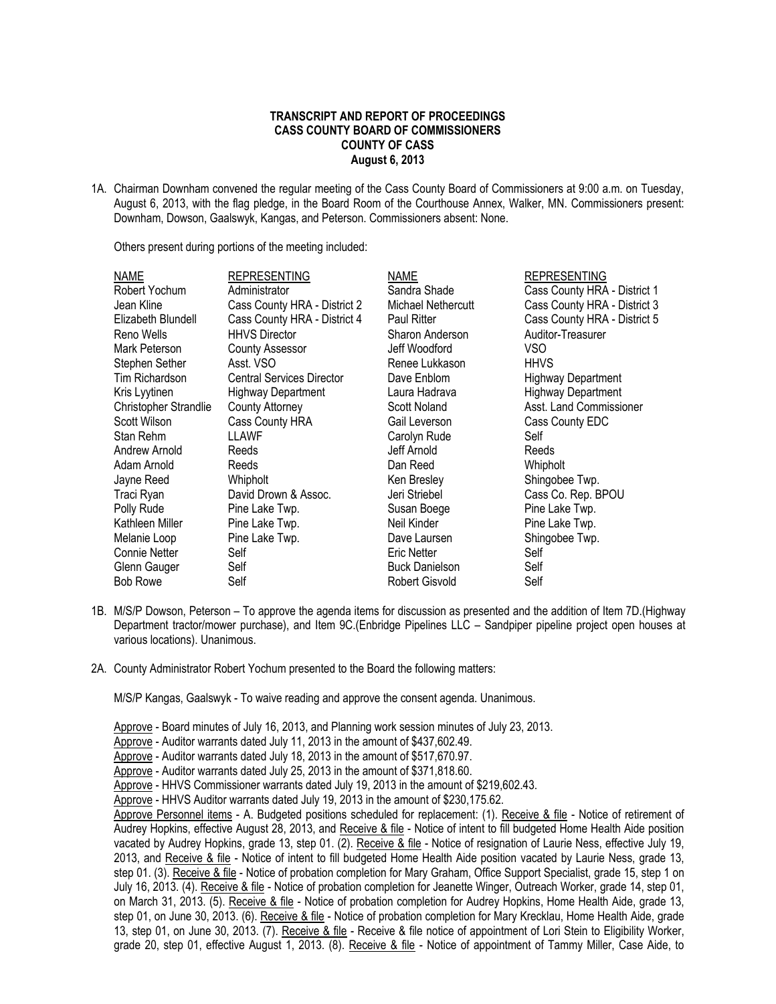# **TRANSCRIPT AND REPORT OF PROCEEDINGS CASS COUNTY BOARD OF COMMISSIONERS COUNTY OF CASS August 6, 2013**

1A. Chairman Downham convened the regular meeting of the Cass County Board of Commissioners at 9:00 a.m. on Tuesday, August 6, 2013, with the flag pledge, in the Board Room of the Courthouse Annex, Walker, MN. Commissioners present: Downham, Dowson, Gaalswyk, Kangas, and Peterson. Commissioners absent: None.

Others present during portions of the meeting included:

| <b>NAME</b>           | <b>REPRESENTING</b>              | NAME                  | REPRESENTING                 |
|-----------------------|----------------------------------|-----------------------|------------------------------|
| Robert Yochum         | Administrator                    | Sandra Shade          | Cass County HRA - District 1 |
| Jean Kline            | Cass County HRA - District 2     | Michael Nethercutt    | Cass County HRA - District 3 |
| Elizabeth Blundell    | Cass County HRA - District 4     | <b>Paul Ritter</b>    | Cass County HRA - District 5 |
| Reno Wells            | <b>HHVS Director</b>             | Sharon Anderson       | Auditor-Treasurer            |
| Mark Peterson         | <b>County Assessor</b>           | Jeff Woodford         | VSO                          |
| Stephen Sether        | Asst. VSO                        | Renee Lukkason        | <b>HHVS</b>                  |
| Tim Richardson        | <b>Central Services Director</b> | Dave Enblom           | <b>Highway Department</b>    |
| Kris Lyytinen         | <b>Highway Department</b>        | Laura Hadrava         | <b>Highway Department</b>    |
| Christopher Strandlie | <b>County Attorney</b>           | Scott Noland          | Asst. Land Commissioner      |
| Scott Wilson          | Cass County HRA                  | Gail Leverson         | Cass County EDC              |
| Stan Rehm             | LLAWF                            | Carolyn Rude          | Self                         |
| Andrew Arnold         | Reeds                            | Jeff Arnold           | Reeds                        |
| Adam Arnold           | Reeds                            | Dan Reed              | Whipholt                     |
| Jayne Reed            | Whipholt                         | Ken Bresley           | Shingobee Twp.               |
| Traci Ryan            | David Drown & Assoc.             | Jeri Striebel         | Cass Co. Rep. BPOU           |
| Polly Rude            | Pine Lake Twp.                   | Susan Boege           | Pine Lake Twp.               |
| Kathleen Miller       | Pine Lake Twp.                   | Neil Kinder           | Pine Lake Twp.               |
| Melanie Loop          | Pine Lake Twp.                   | Dave Laursen          | Shingobee Twp.               |
| <b>Connie Netter</b>  | Self                             | Eric Netter           | Self                         |
| Glenn Gauger          | Self                             | <b>Buck Danielson</b> | Self                         |
| <b>Bob Rowe</b>       | Self                             | <b>Robert Gisvold</b> | Self                         |

- 1B. M/S/P Dowson, Peterson To approve the agenda items for discussion as presented and the addition of Item 7D.(Highway Department tractor/mower purchase), and Item 9C.(Enbridge Pipelines LLC – Sandpiper pipeline project open houses at various locations). Unanimous.
- 2A. County Administrator Robert Yochum presented to the Board the following matters:

M/S/P Kangas, Gaalswyk - To waive reading and approve the consent agenda. Unanimous.

Approve - Board minutes of July 16, 2013, and Planning work session minutes of July 23, 2013.

Approve - Auditor warrants dated July 11, 2013 in the amount of \$437,602.49.

Approve - Auditor warrants dated July 18, 2013 in the amount of \$517,670.97.

Approve - Auditor warrants dated July 25, 2013 in the amount of \$371,818.60.

Approve - HHVS Commissioner warrants dated July 19, 2013 in the amount of \$219,602.43.

Approve - HHVS Auditor warrants dated July 19, 2013 in the amount of \$230,175.62.

Approve Personnel items - A. Budgeted positions scheduled for replacement: (1). Receive & file - Notice of retirement of Audrey Hopkins, effective August 28, 2013, and Receive & file - Notice of intent to fill budgeted Home Health Aide position vacated by Audrey Hopkins, grade 13, step 01. (2). Receive & file - Notice of resignation of Laurie Ness, effective July 19, 2013, and Receive & file - Notice of intent to fill budgeted Home Health Aide position vacated by Laurie Ness, grade 13, step 01. (3). Receive & file - Notice of probation completion for Mary Graham, Office Support Specialist, grade 15, step 1 on July 16, 2013. (4). Receive & file - Notice of probation completion for Jeanette Winger, Outreach Worker, grade 14, step 01, on March 31, 2013. (5). Receive & file - Notice of probation completion for Audrey Hopkins, Home Health Aide, grade 13, step 01, on June 30, 2013. (6). Receive & file - Notice of probation completion for Mary Krecklau, Home Health Aide, grade 13, step 01, on June 30, 2013. (7). Receive & file - Receive & file notice of appointment of Lori Stein to Eligibility Worker, grade 20, step 01, effective August 1, 2013. (8). Receive & file - Notice of appointment of Tammy Miller, Case Aide, to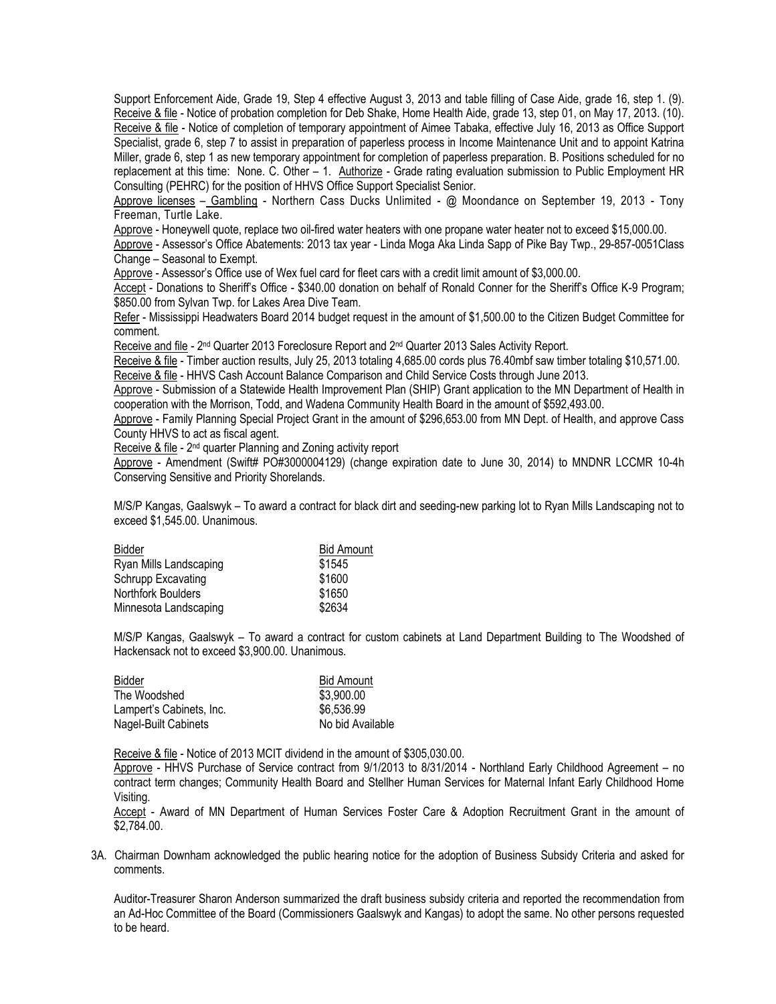Support Enforcement Aide, Grade 19, Step 4 effective August 3, 2013 and table filling of Case Aide, grade 16, step 1. (9). Receive & file - Notice of probation completion for Deb Shake, Home Health Aide, grade 13, step 01, on May 17, 2013. (10). Receive & file - Notice of completion of temporary appointment of Aimee Tabaka, effective July 16, 2013 as Office Support Specialist, grade 6, step 7 to assist in preparation of paperless process in Income Maintenance Unit and to appoint Katrina Miller, grade 6, step 1 as new temporary appointment for completion of paperless preparation. B. Positions scheduled for no replacement at this time: None. C. Other – 1. Authorize - Grade rating evaluation submission to Public Employment HR Consulting (PEHRC) for the position of HHVS Office Support Specialist Senior.

Approve licenses – Gambling - Northern Cass Ducks Unlimited - @ Moondance on September 19, 2013 - Tony Freeman, Turtle Lake.

Approve - Honeywell quote, replace two oil-fired water heaters with one propane water heater not to exceed \$15,000.00.

Approve - Assessor's Office Abatements: 2013 tax year - Linda Moga Aka Linda Sapp of Pike Bay Twp., 29-857-0051Class Change – Seasonal to Exempt.

Approve - Assessor's Office use of Wex fuel card for fleet cars with a credit limit amount of \$3,000.00.

Accept - Donations to Sheriff's Office - \$340.00 donation on behalf of Ronald Conner for the Sheriff's Office K-9 Program; \$850.00 from Sylvan Twp. for Lakes Area Dive Team.

Refer - Mississippi Headwaters Board 2014 budget request in the amount of \$1,500.00 to the Citizen Budget Committee for comment.

Receive and file - 2<sup>nd</sup> Quarter 2013 Foreclosure Report and 2<sup>nd</sup> Quarter 2013 Sales Activity Report.

Receive & file - Timber auction results, July 25, 2013 totaling 4,685.00 cords plus 76.40mbf saw timber totaling \$10,571.00. Receive & file - HHVS Cash Account Balance Comparison and Child Service Costs through June 2013.

Approve - Submission of a Statewide Health Improvement Plan (SHIP) Grant application to the MN Department of Health in cooperation with the Morrison, Todd, and Wadena Community Health Board in the amount of \$592,493.00.

Approve - Family Planning Special Project Grant in the amount of \$296,653.00 from MN Dept. of Health, and approve Cass County HHVS to act as fiscal agent.

Receive & file - 2<sup>nd</sup> quarter Planning and Zoning activity report

Approve - Amendment (Swift# PO#3000004129) (change expiration date to June 30, 2014) to MNDNR LCCMR 10-4h Conserving Sensitive and Priority Shorelands.

M/S/P Kangas, Gaalswyk – To award a contract for black dirt and seeding-new parking lot to Ryan Mills Landscaping not to exceed \$1,545.00. Unanimous.

| <b>Bid Amount</b> |  |
|-------------------|--|
| \$1545            |  |
| \$1600            |  |
| \$1650            |  |
| \$2634            |  |
|                   |  |

M/S/P Kangas, Gaalswyk – To award a contract for custom cabinets at Land Department Building to The Woodshed of Hackensack not to exceed \$3,900.00. Unanimous.

| Bidder                   | <b>Bid Amount</b> |
|--------------------------|-------------------|
| The Woodshed             | \$3,900.00        |
| Lampert's Cabinets, Inc. | \$6.536.99        |
| Nagel-Built Cabinets     | No bid Available  |

Receive & file - Notice of 2013 MCIT dividend in the amount of \$305,030.00.

Approve - HHVS Purchase of Service contract from 9/1/2013 to 8/31/2014 - Northland Early Childhood Agreement – no contract term changes; Community Health Board and Stellher Human Services for Maternal Infant Early Childhood Home Visiting.

Accept - Award of MN Department of Human Services Foster Care & Adoption Recruitment Grant in the amount of \$2,784.00.

3A. Chairman Downham acknowledged the public hearing notice for the adoption of Business Subsidy Criteria and asked for comments.

Auditor-Treasurer Sharon Anderson summarized the draft business subsidy criteria and reported the recommendation from an Ad-Hoc Committee of the Board (Commissioners Gaalswyk and Kangas) to adopt the same. No other persons requested to be heard.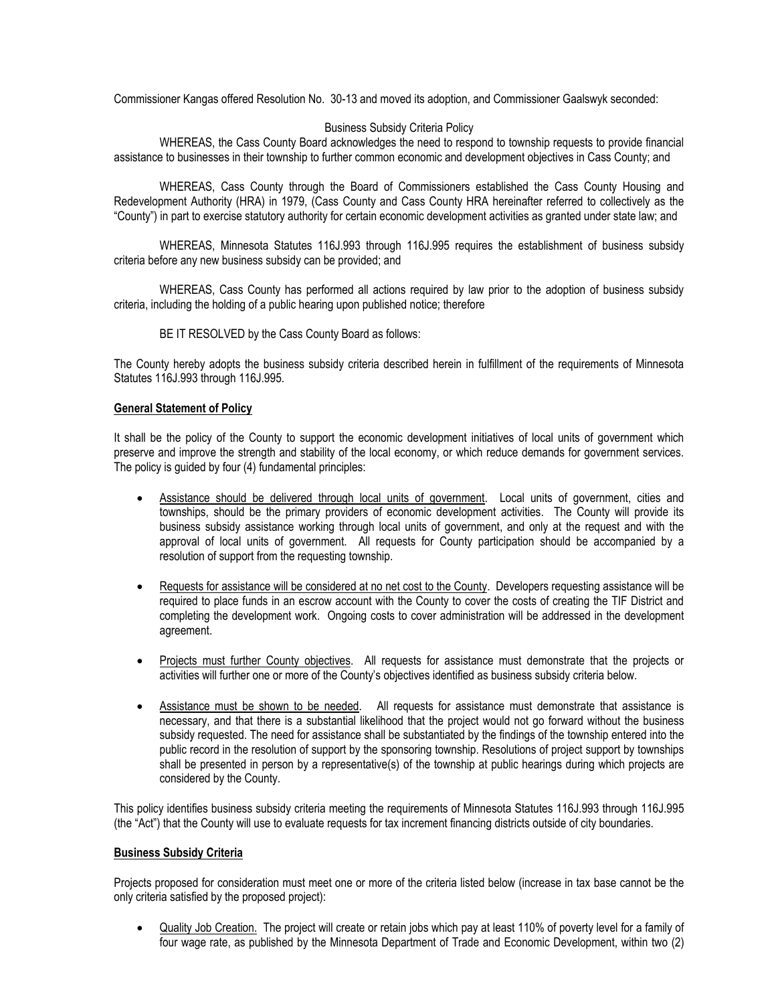Commissioner Kangas offered Resolution No. 30-13 and moved its adoption, and Commissioner Gaalswyk seconded:

## Business Subsidy Criteria Policy

WHEREAS, the Cass County Board acknowledges the need to respond to township requests to provide financial assistance to businesses in their township to further common economic and development objectives in Cass County; and

WHEREAS, Cass County through the Board of Commissioners established the Cass County Housing and Redevelopment Authority (HRA) in 1979, (Cass County and Cass County HRA hereinafter referred to collectively as the "County") in part to exercise statutory authority for certain economic development activities as granted under state law; and

WHEREAS, Minnesota Statutes 116J.993 through 116J.995 requires the establishment of business subsidy criteria before any new business subsidy can be provided; and

WHEREAS, Cass County has performed all actions required by law prior to the adoption of business subsidy criteria, including the holding of a public hearing upon published notice; therefore

BE IT RESOLVED by the Cass County Board as follows:

The County hereby adopts the business subsidy criteria described herein in fulfillment of the requirements of Minnesota Statutes 116J.993 through 116J.995.

## **General Statement of Policy**

It shall be the policy of the County to support the economic development initiatives of local units of government which preserve and improve the strength and stability of the local economy, or which reduce demands for government services. The policy is guided by four (4) fundamental principles:

- Assistance should be delivered through local units of government. Local units of government, cities and townships, should be the primary providers of economic development activities. The County will provide its business subsidy assistance working through local units of government, and only at the request and with the approval of local units of government. All requests for County participation should be accompanied by a resolution of support from the requesting township.
- Requests for assistance will be considered at no net cost to the County. Developers requesting assistance will be required to place funds in an escrow account with the County to cover the costs of creating the TIF District and completing the development work. Ongoing costs to cover administration will be addressed in the development agreement.
- Projects must further County objectives. All requests for assistance must demonstrate that the projects or activities will further one or more of the County's objectives identified as business subsidy criteria below.
- Assistance must be shown to be needed. All requests for assistance must demonstrate that assistance is necessary, and that there is a substantial likelihood that the project would not go forward without the business subsidy requested. The need for assistance shall be substantiated by the findings of the township entered into the public record in the resolution of support by the sponsoring township. Resolutions of project support by townships shall be presented in person by a representative(s) of the township at public hearings during which projects are considered by the County.

This policy identifies business subsidy criteria meeting the requirements of Minnesota Statutes 116J.993 through 116J.995 (the "Act") that the County will use to evaluate requests for tax increment financing districts outside of city boundaries.

#### **Business Subsidy Criteria**

Projects proposed for consideration must meet one or more of the criteria listed below (increase in tax base cannot be the only criteria satisfied by the proposed project):

• Quality Job Creation. The project will create or retain jobs which pay at least 110% of poverty level for a family of four wage rate, as published by the Minnesota Department of Trade and Economic Development, within two (2)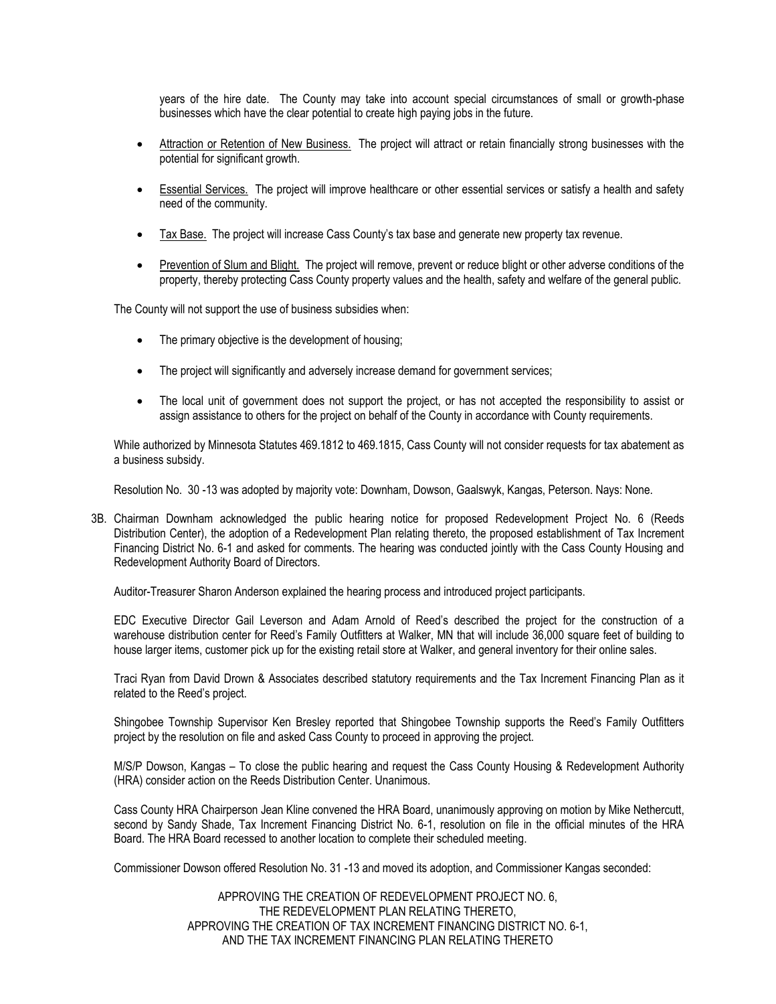years of the hire date. The County may take into account special circumstances of small or growth-phase businesses which have the clear potential to create high paying jobs in the future.

- Attraction or Retention of New Business. The project will attract or retain financially strong businesses with the potential for significant growth.
- Essential Services. The project will improve healthcare or other essential services or satisfy a health and safety need of the community.
- Tax Base. The project will increase Cass County's tax base and generate new property tax revenue.
- Prevention of Slum and Blight. The project will remove, prevent or reduce blight or other adverse conditions of the property, thereby protecting Cass County property values and the health, safety and welfare of the general public.

The County will not support the use of business subsidies when:

- The primary objective is the development of housing;
- The project will significantly and adversely increase demand for government services;
- The local unit of government does not support the project, or has not accepted the responsibility to assist or assign assistance to others for the project on behalf of the County in accordance with County requirements.

While authorized by Minnesota Statutes 469.1812 to 469.1815, Cass County will not consider requests for tax abatement as a business subsidy.

Resolution No. 30 -13 was adopted by majority vote: Downham, Dowson, Gaalswyk, Kangas, Peterson. Nays: None.

3B. Chairman Downham acknowledged the public hearing notice for proposed Redevelopment Project No. 6 (Reeds Distribution Center), the adoption of a Redevelopment Plan relating thereto, the proposed establishment of Tax Increment Financing District No. 6-1 and asked for comments. The hearing was conducted jointly with the Cass County Housing and Redevelopment Authority Board of Directors.

Auditor-Treasurer Sharon Anderson explained the hearing process and introduced project participants.

EDC Executive Director Gail Leverson and Adam Arnold of Reed's described the project for the construction of a warehouse distribution center for Reed's Family Outfitters at Walker, MN that will include 36,000 square feet of building to house larger items, customer pick up for the existing retail store at Walker, and general inventory for their online sales.

Traci Ryan from David Drown & Associates described statutory requirements and the Tax Increment Financing Plan as it related to the Reed's project.

Shingobee Township Supervisor Ken Bresley reported that Shingobee Township supports the Reed's Family Outfitters project by the resolution on file and asked Cass County to proceed in approving the project.

M/S/P Dowson, Kangas – To close the public hearing and request the Cass County Housing & Redevelopment Authority (HRA) consider action on the Reeds Distribution Center. Unanimous.

Cass County HRA Chairperson Jean Kline convened the HRA Board, unanimously approving on motion by Mike Nethercutt, second by Sandy Shade, Tax Increment Financing District No. 6-1, resolution on file in the official minutes of the HRA Board. The HRA Board recessed to another location to complete their scheduled meeting.

Commissioner Dowson offered Resolution No. 31 -13 and moved its adoption, and Commissioner Kangas seconded:

APPROVING THE CREATION OF REDEVELOPMENT PROJECT NO. 6, THE REDEVELOPMENT PLAN RELATING THERETO, APPROVING THE CREATION OF TAX INCREMENT FINANCING DISTRICT NO. 6-1, AND THE TAX INCREMENT FINANCING PLAN RELATING THERETO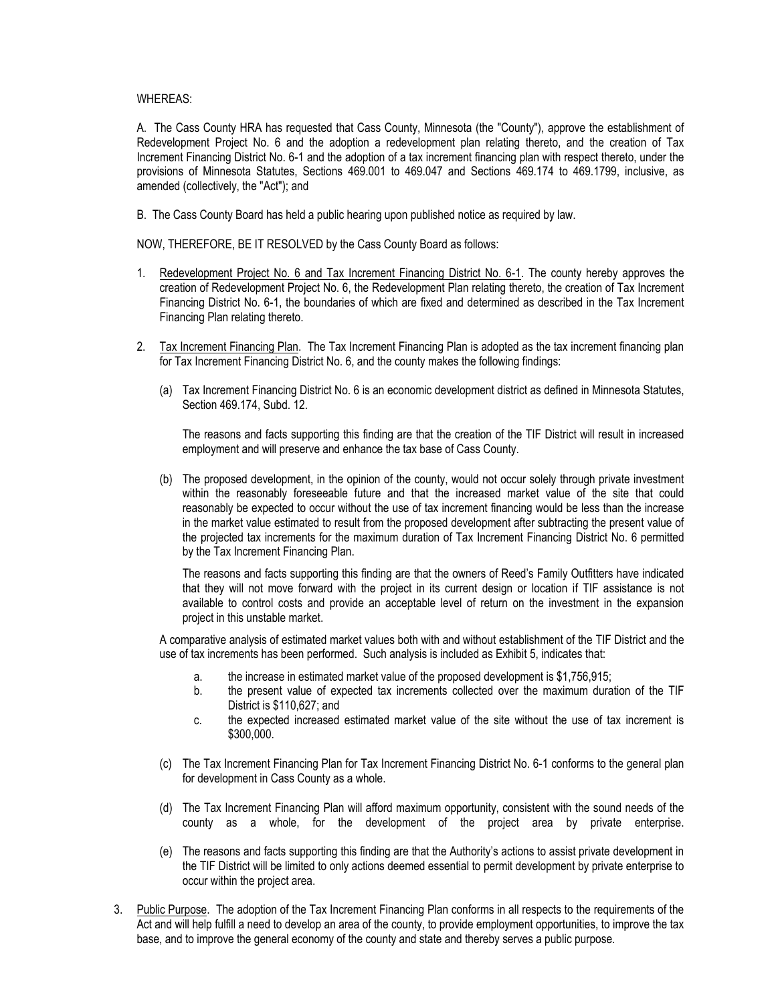## WHEREAS:

A. The Cass County HRA has requested that Cass County, Minnesota (the "County"), approve the establishment of Redevelopment Project No. 6 and the adoption a redevelopment plan relating thereto, and the creation of Tax Increment Financing District No. 6-1 and the adoption of a tax increment financing plan with respect thereto, under the provisions of Minnesota Statutes, Sections 469.001 to 469.047 and Sections 469.174 to 469.1799, inclusive, as amended (collectively, the "Act"); and

B. The Cass County Board has held a public hearing upon published notice as required by law.

NOW, THEREFORE, BE IT RESOLVED by the Cass County Board as follows:

- 1. Redevelopment Project No. 6 and Tax Increment Financing District No. 6-1. The county hereby approves the creation of Redevelopment Project No. 6, the Redevelopment Plan relating thereto, the creation of Tax Increment Financing District No. 6-1, the boundaries of which are fixed and determined as described in the Tax Increment Financing Plan relating thereto.
- 2. Tax Increment Financing Plan. The Tax Increment Financing Plan is adopted as the tax increment financing plan for Tax Increment Financing District No. 6, and the county makes the following findings:
	- (a) Tax Increment Financing District No. 6 is an economic development district as defined in Minnesota Statutes, Section 469.174, Subd. 12.

The reasons and facts supporting this finding are that the creation of the TIF District will result in increased employment and will preserve and enhance the tax base of Cass County.

(b) The proposed development, in the opinion of the county, would not occur solely through private investment within the reasonably foreseeable future and that the increased market value of the site that could reasonably be expected to occur without the use of tax increment financing would be less than the increase in the market value estimated to result from the proposed development after subtracting the present value of the projected tax increments for the maximum duration of Tax Increment Financing District No. 6 permitted by the Tax Increment Financing Plan.

The reasons and facts supporting this finding are that the owners of Reed's Family Outfitters have indicated that they will not move forward with the project in its current design or location if TIF assistance is not available to control costs and provide an acceptable level of return on the investment in the expansion project in this unstable market.

A comparative analysis of estimated market values both with and without establishment of the TIF District and the use of tax increments has been performed. Such analysis is included as Exhibit 5, indicates that:

- a. the increase in estimated market value of the proposed development is \$1,756,915;
- b. the present value of expected tax increments collected over the maximum duration of the TIF District is \$110,627; and
- c. the expected increased estimated market value of the site without the use of tax increment is \$300,000.
- (c) The Tax Increment Financing Plan for Tax Increment Financing District No. 6-1 conforms to the general plan for development in Cass County as a whole.
- (d) The Tax Increment Financing Plan will afford maximum opportunity, consistent with the sound needs of the county as a whole, for the development of the project area by private enterprise.
- (e) The reasons and facts supporting this finding are that the Authority's actions to assist private development in the TIF District will be limited to only actions deemed essential to permit development by private enterprise to occur within the project area.
- 3. Public Purpose. The adoption of the Tax Increment Financing Plan conforms in all respects to the requirements of the Act and will help fulfill a need to develop an area of the county, to provide employment opportunities, to improve the tax base, and to improve the general economy of the county and state and thereby serves a public purpose.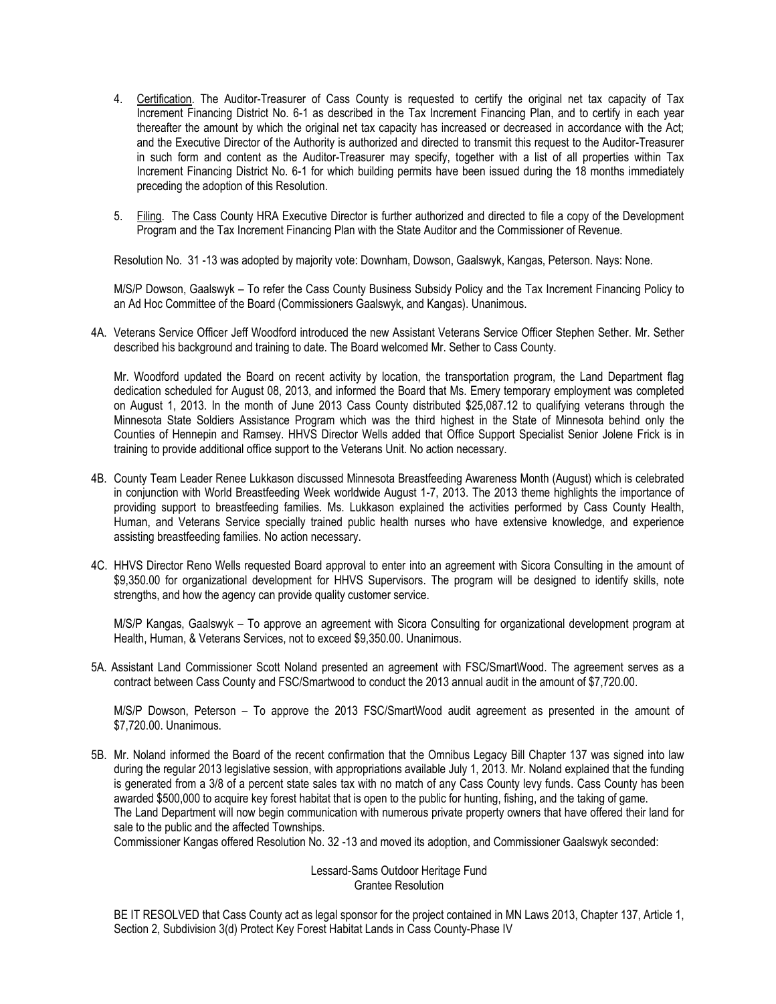- 4. Certification. The Auditor-Treasurer of Cass County is requested to certify the original net tax capacity of Tax Increment Financing District No. 6-1 as described in the Tax Increment Financing Plan, and to certify in each year thereafter the amount by which the original net tax capacity has increased or decreased in accordance with the Act; and the Executive Director of the Authority is authorized and directed to transmit this request to the Auditor-Treasurer in such form and content as the Auditor-Treasurer may specify, together with a list of all properties within Tax Increment Financing District No. 6-1 for which building permits have been issued during the 18 months immediately preceding the adoption of this Resolution.
- 5. Filing. The Cass County HRA Executive Director is further authorized and directed to file a copy of the Development Program and the Tax Increment Financing Plan with the State Auditor and the Commissioner of Revenue.

Resolution No. 31 -13 was adopted by majority vote: Downham, Dowson, Gaalswyk, Kangas, Peterson. Nays: None.

M/S/P Dowson, Gaalswyk – To refer the Cass County Business Subsidy Policy and the Tax Increment Financing Policy to an Ad Hoc Committee of the Board (Commissioners Gaalswyk, and Kangas). Unanimous.

4A. Veterans Service Officer Jeff Woodford introduced the new Assistant Veterans Service Officer Stephen Sether. Mr. Sether described his background and training to date. The Board welcomed Mr. Sether to Cass County.

Mr. Woodford updated the Board on recent activity by location, the transportation program, the Land Department flag dedication scheduled for August 08, 2013, and informed the Board that Ms. Emery temporary employment was completed on August 1, 2013. In the month of June 2013 Cass County distributed \$25,087.12 to qualifying veterans through the Minnesota State Soldiers Assistance Program which was the third highest in the State of Minnesota behind only the Counties of Hennepin and Ramsey. HHVS Director Wells added that Office Support Specialist Senior Jolene Frick is in training to provide additional office support to the Veterans Unit. No action necessary.

- 4B. County Team Leader Renee Lukkason discussed Minnesota Breastfeeding Awareness Month (August) which is celebrated in conjunction with World Breastfeeding Week worldwide August 1-7, 2013. The 2013 theme highlights the importance of providing support to breastfeeding families. Ms. Lukkason explained the activities performed by Cass County Health, Human, and Veterans Service specially trained public health nurses who have extensive knowledge, and experience assisting breastfeeding families. No action necessary.
- 4C. HHVS Director Reno Wells requested Board approval to enter into an agreement with Sicora Consulting in the amount of \$9,350.00 for organizational development for HHVS Supervisors. The program will be designed to identify skills, note strengths, and how the agency can provide quality customer service.

M/S/P Kangas, Gaalswyk – To approve an agreement with Sicora Consulting for organizational development program at Health, Human, & Veterans Services, not to exceed \$9,350.00. Unanimous.

5A. Assistant Land Commissioner Scott Noland presented an agreement with FSC/SmartWood. The agreement serves as a contract between Cass County and FSC/Smartwood to conduct the 2013 annual audit in the amount of \$7,720.00.

M/S/P Dowson, Peterson – To approve the 2013 FSC/SmartWood audit agreement as presented in the amount of \$7,720.00. Unanimous.

5B. Mr. Noland informed the Board of the recent confirmation that the Omnibus Legacy Bill Chapter 137 was signed into law during the regular 2013 legislative session, with appropriations available July 1, 2013. Mr. Noland explained that the funding is generated from a 3/8 of a percent state sales tax with no match of any Cass County levy funds. Cass County has been awarded \$500,000 to acquire key forest habitat that is open to the public for hunting, fishing, and the taking of game. The Land Department will now begin communication with numerous private property owners that have offered their land for sale to the public and the affected Townships.

Commissioner Kangas offered Resolution No. 32 -13 and moved its adoption, and Commissioner Gaalswyk seconded:

Lessard-Sams Outdoor Heritage Fund Grantee Resolution

BE IT RESOLVED that Cass County act as legal sponsor for the project contained in MN Laws 2013, Chapter 137, Article 1, Section 2, Subdivision 3(d) Protect Key Forest Habitat Lands in Cass County-Phase IV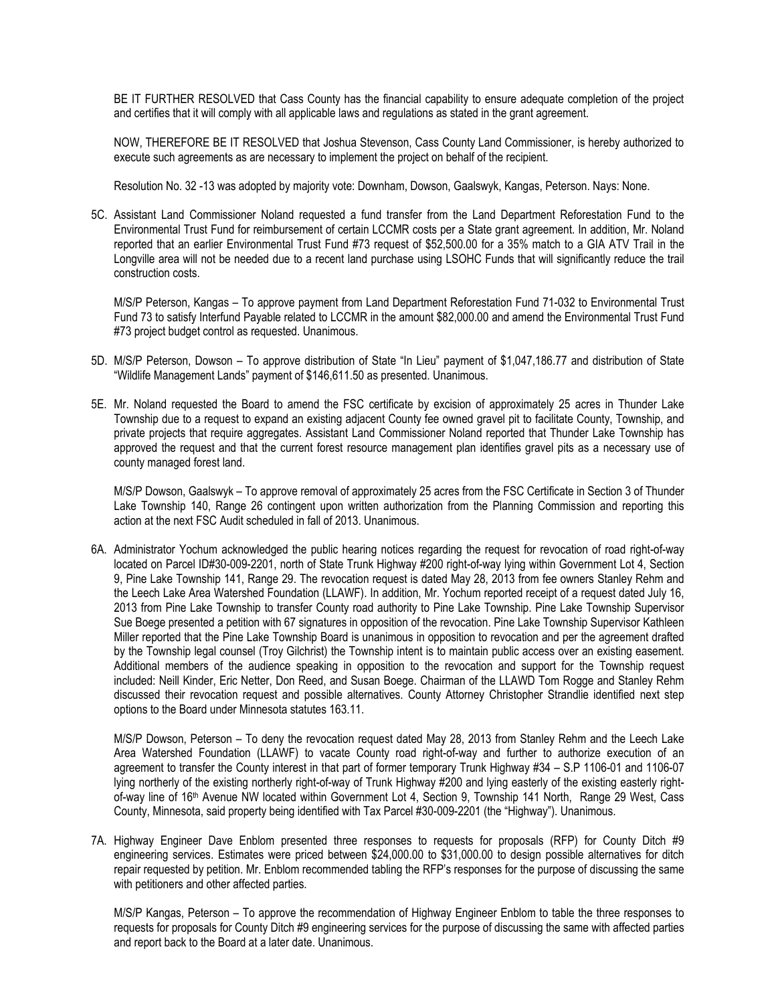BE IT FURTHER RESOLVED that Cass County has the financial capability to ensure adequate completion of the project and certifies that it will comply with all applicable laws and regulations as stated in the grant agreement.

NOW, THEREFORE BE IT RESOLVED that Joshua Stevenson, Cass County Land Commissioner, is hereby authorized to execute such agreements as are necessary to implement the project on behalf of the recipient.

Resolution No. 32 -13 was adopted by majority vote: Downham, Dowson, Gaalswyk, Kangas, Peterson. Nays: None.

5C. Assistant Land Commissioner Noland requested a fund transfer from the Land Department Reforestation Fund to the Environmental Trust Fund for reimbursement of certain LCCMR costs per a State grant agreement. In addition, Mr. Noland reported that an earlier Environmental Trust Fund #73 request of \$52,500.00 for a 35% match to a GIA ATV Trail in the Longville area will not be needed due to a recent land purchase using LSOHC Funds that will significantly reduce the trail construction costs.

M/S/P Peterson, Kangas – To approve payment from Land Department Reforestation Fund 71-032 to Environmental Trust Fund 73 to satisfy Interfund Payable related to LCCMR in the amount \$82,000.00 and amend the Environmental Trust Fund #73 project budget control as requested. Unanimous.

- 5D. M/S/P Peterson, Dowson To approve distribution of State "In Lieu" payment of \$1,047,186.77 and distribution of State "Wildlife Management Lands" payment of \$146,611.50 as presented. Unanimous.
- 5E. Mr. Noland requested the Board to amend the FSC certificate by excision of approximately 25 acres in Thunder Lake Township due to a request to expand an existing adjacent County fee owned gravel pit to facilitate County, Township, and private projects that require aggregates. Assistant Land Commissioner Noland reported that Thunder Lake Township has approved the request and that the current forest resource management plan identifies gravel pits as a necessary use of county managed forest land.

M/S/P Dowson, Gaalswyk – To approve removal of approximately 25 acres from the FSC Certificate in Section 3 of Thunder Lake Township 140, Range 26 contingent upon written authorization from the Planning Commission and reporting this action at the next FSC Audit scheduled in fall of 2013. Unanimous.

6A. Administrator Yochum acknowledged the public hearing notices regarding the request for revocation of road right-of-way located on Parcel ID#30-009-2201, north of State Trunk Highway #200 right-of-way lying within Government Lot 4, Section 9, Pine Lake Township 141, Range 29. The revocation request is dated May 28, 2013 from fee owners Stanley Rehm and the Leech Lake Area Watershed Foundation (LLAWF). In addition, Mr. Yochum reported receipt of a request dated July 16, 2013 from Pine Lake Township to transfer County road authority to Pine Lake Township. Pine Lake Township Supervisor Sue Boege presented a petition with 67 signatures in opposition of the revocation. Pine Lake Township Supervisor Kathleen Miller reported that the Pine Lake Township Board is unanimous in opposition to revocation and per the agreement drafted by the Township legal counsel (Troy Gilchrist) the Township intent is to maintain public access over an existing easement. Additional members of the audience speaking in opposition to the revocation and support for the Township request included: Neill Kinder, Eric Netter, Don Reed, and Susan Boege. Chairman of the LLAWD Tom Rogge and Stanley Rehm discussed their revocation request and possible alternatives. County Attorney Christopher Strandlie identified next step options to the Board under Minnesota statutes 163.11.

M/S/P Dowson, Peterson – To deny the revocation request dated May 28, 2013 from Stanley Rehm and the Leech Lake Area Watershed Foundation (LLAWF) to vacate County road right-of-way and further to authorize execution of an agreement to transfer the County interest in that part of former temporary Trunk Highway #34 – S.P 1106-01 and 1106-07 lying northerly of the existing northerly right-of-way of Trunk Highway #200 and lying easterly of the existing easterly rightof-way line of 16th Avenue NW located within Government Lot 4, Section 9, Township 141 North, Range 29 West, Cass County, Minnesota, said property being identified with Tax Parcel #30-009-2201 (the "Highway"). Unanimous.

7A. Highway Engineer Dave Enblom presented three responses to requests for proposals (RFP) for County Ditch #9 engineering services. Estimates were priced between \$24,000.00 to \$31,000.00 to design possible alternatives for ditch repair requested by petition. Mr. Enblom recommended tabling the RFP's responses for the purpose of discussing the same with petitioners and other affected parties.

M/S/P Kangas, Peterson – To approve the recommendation of Highway Engineer Enblom to table the three responses to requests for proposals for County Ditch #9 engineering services for the purpose of discussing the same with affected parties and report back to the Board at a later date. Unanimous.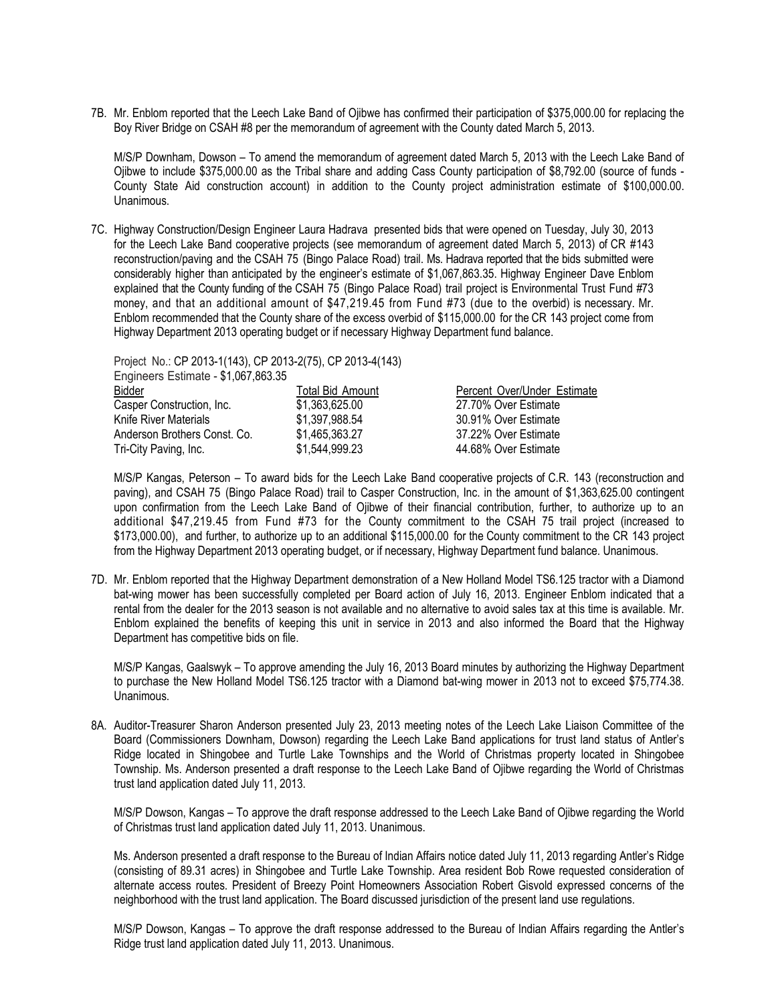7B. Mr. Enblom reported that the Leech Lake Band of Ojibwe has confirmed their participation of \$375,000.00 for replacing the Boy River Bridge on CSAH #8 per the memorandum of agreement with the County dated March 5, 2013.

M/S/P Downham, Dowson – To amend the memorandum of agreement dated March 5, 2013 with the Leech Lake Band of Ojibwe to include \$375,000.00 as the Tribal share and adding Cass County participation of \$8,792.00 (source of funds - County State Aid construction account) in addition to the County project administration estimate of \$100,000.00. Unanimous.

7C. Highway Construction/Design Engineer Laura Hadrava presented bids that were opened on Tuesday, July 30, 2013 for the Leech Lake Band cooperative projects (see memorandum of agreement dated March 5, 2013) of CR #143 reconstruction/paving and the CSAH 75 (Bingo Palace Road) trail. Ms. Hadrava reported that the bids submitted were considerably higher than anticipated by the engineer's estimate of \$1,067,863.35. Highway Engineer Dave Enblom explained that the County funding of the CSAH 75 (Bingo Palace Road) trail project is Environmental Trust Fund #73 money, and that an additional amount of \$47,219.45 from Fund #73 (due to the overbid) is necessary. Mr. Enblom recommended that the County share of the excess overbid of \$115,000.00 for the CR 143 project come from Highway Department 2013 operating budget or if necessary Highway Department fund balance.

Project No.: CP 2013-1(143), CP 2013-2(75), CP 2013-4(143) Engineers Estimate - \$1,067,863.35

| Bidder                       | Total Bid Amount | Percent Over/Under Estimate |
|------------------------------|------------------|-----------------------------|
| Casper Construction, Inc.    | \$1,363,625.00   | 27.70% Over Estimate        |
| Knife River Materials        | \$1,397,988.54   | 30.91% Over Estimate        |
| Anderson Brothers Const. Co. | \$1.465.363.27   | 37.22% Over Estimate        |
| Tri-City Paving, Inc.        | \$1,544,999.23   | 44.68% Over Estimate        |

M/S/P Kangas, Peterson – To award bids for the Leech Lake Band cooperative projects of C.R. 143 (reconstruction and paving), and CSAH 75 (Bingo Palace Road) trail to Casper Construction, Inc. in the amount of \$1,363,625.00 contingent upon confirmation from the Leech Lake Band of Ojibwe of their financial contribution, further, to authorize up to an additional \$47,219.45 from Fund #73 for the County commitment to the CSAH 75 trail project (increased to \$173,000.00), and further, to authorize up to an additional \$115,000.00 for the County commitment to the CR 143 project from the Highway Department 2013 operating budget, or if necessary, Highway Department fund balance. Unanimous.

7D. Mr. Enblom reported that the Highway Department demonstration of a New Holland Model TS6.125 tractor with a Diamond bat-wing mower has been successfully completed per Board action of July 16, 2013. Engineer Enblom indicated that a rental from the dealer for the 2013 season is not available and no alternative to avoid sales tax at this time is available. Mr. Enblom explained the benefits of keeping this unit in service in 2013 and also informed the Board that the Highway Department has competitive bids on file.

M/S/P Kangas, Gaalswyk – To approve amending the July 16, 2013 Board minutes by authorizing the Highway Department to purchase the New Holland Model TS6.125 tractor with a Diamond bat-wing mower in 2013 not to exceed \$75,774.38. Unanimous.

8A. Auditor-Treasurer Sharon Anderson presented July 23, 2013 meeting notes of the Leech Lake Liaison Committee of the Board (Commissioners Downham, Dowson) regarding the Leech Lake Band applications for trust land status of Antler's Ridge located in Shingobee and Turtle Lake Townships and the World of Christmas property located in Shingobee Township. Ms. Anderson presented a draft response to the Leech Lake Band of Ojibwe regarding the World of Christmas trust land application dated July 11, 2013.

M/S/P Dowson, Kangas – To approve the draft response addressed to the Leech Lake Band of Ojibwe regarding the World of Christmas trust land application dated July 11, 2013. Unanimous.

Ms. Anderson presented a draft response to the Bureau of Indian Affairs notice dated July 11, 2013 regarding Antler's Ridge (consisting of 89.31 acres) in Shingobee and Turtle Lake Township. Area resident Bob Rowe requested consideration of alternate access routes. President of Breezy Point Homeowners Association Robert Gisvold expressed concerns of the neighborhood with the trust land application. The Board discussed jurisdiction of the present land use regulations.

M/S/P Dowson, Kangas – To approve the draft response addressed to the Bureau of Indian Affairs regarding the Antler's Ridge trust land application dated July 11, 2013. Unanimous.